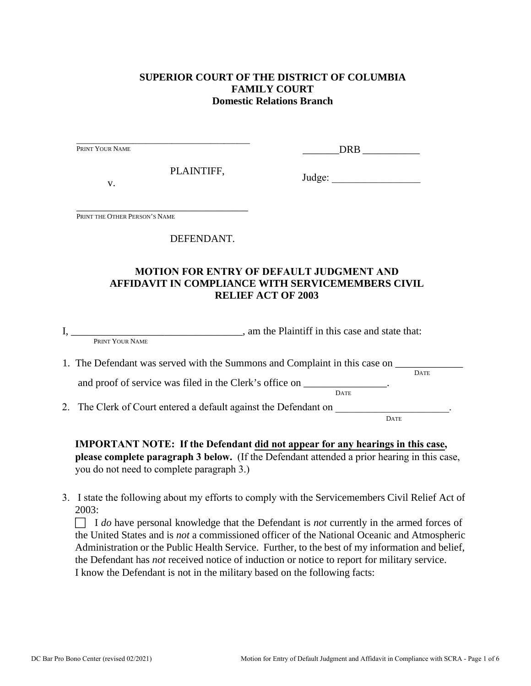## **SUPERIOR COURT OF THE DISTRICT OF COLUMBIA FAMILY COURT Domestic Relations Branch**

| PRINT YOUR NAME               |                                                             | DRB                                                                                                                                                                                         |
|-------------------------------|-------------------------------------------------------------|---------------------------------------------------------------------------------------------------------------------------------------------------------------------------------------------|
| V.                            | PLAINTIFF,                                                  |                                                                                                                                                                                             |
| PRINT THE OTHER PERSON'S NAME | the control of the control of the control of the control of |                                                                                                                                                                                             |
|                               | DEFENDANT.                                                  |                                                                                                                                                                                             |
|                               |                                                             | <b>MOTION FOR ENTRY OF DEFAULT JUDGMENT AND</b>                                                                                                                                             |
|                               |                                                             | <b>AFFIDAVIT IN COMPLIANCE WITH SERVICEMEMBERS CIVIL</b><br><b>RELIEF ACT OF 2003</b>                                                                                                       |
|                               |                                                             | I, PRINT YOUR NAME , am the Plaintiff in this case and state that:                                                                                                                          |
|                               |                                                             | 1. The Defendant was served with the Summons and Complaint in this case on ______<br><b>DATE</b><br>and proof of service was filed in the Clerk's office on _______________.<br><b>DATE</b> |

**please complete paragraph 3 below.** (If the Defendant attended a prior hearing in this case, you do not need to complete paragraph 3.)

3. I state the following about my efforts to comply with the Servicemembers Civil Relief Act of 2003:

 I *do* have personal knowledge that the Defendant is *not* currently in the armed forces of the United States and is *not* a commissioned officer of the National Oceanic and Atmospheric Administration or the Public Health Service. Further, to the best of my information and belief, the Defendant has *not* received notice of induction or notice to report for military service. I know the Defendant is not in the military based on the following facts: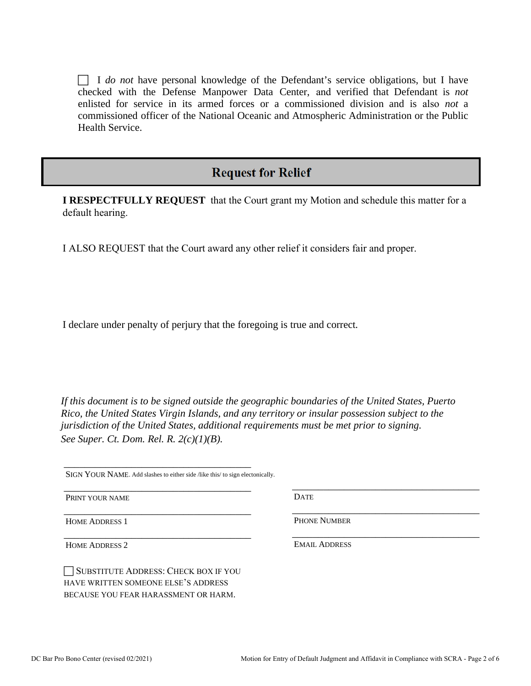I *do not* have personal knowledge of the Defendant's service obligations, but I have checked with the Defense Manpower Data Center, and verified that Defendant is *not* enlisted for service in its armed forces or a commissioned division and is also *not* a commissioned officer of the National Oceanic and Atmospheric Administration or the Public Health Service.

# **Request for Relief**

**I RESPECTFULLY REQUEST** that the Court grant my Motion and schedule this matter for a default hearing.

I ALSO REQUEST that the Court award any other relief it considers fair and proper.

I declare under penalty of perjury that the foregoing is true and correct*.* 

*If this document is to be signed outside the geographic boundaries of the United States, Puerto Rico, the United States Virgin Islands, and any territory or insular possession subject to the jurisdiction of the United States, additional requirements must be met prior to signing. See Super. Ct. Dom. Rel. R. 2(c)(1)(B).* 

SIGN YOUR NAME. Add slashes to either side /like this/ to sign electonically.

\_\_\_\_\_\_\_\_\_\_\_\_\_\_\_\_\_\_\_\_\_\_\_\_\_\_\_\_\_\_\_\_\_\_\_\_

\_\_\_\_\_\_\_\_\_\_\_\_\_\_\_\_\_\_\_\_\_\_\_\_\_\_\_\_\_\_\_\_\_\_\_\_

\_\_\_\_\_\_\_\_\_\_\_\_\_\_\_\_\_\_\_\_\_\_\_\_\_\_\_\_\_\_\_\_\_\_\_\_

\_\_\_\_\_\_\_\_\_\_\_\_\_\_\_\_\_\_\_\_\_\_\_\_\_\_\_\_\_\_\_\_\_\_\_\_

PRINT YOUR NAME

HOME ADDRESS 1

HOME ADDRESS 2

SUBSTITUTE ADDRESS: CHECK BOX IF YOU HAVE WRITTEN SOMEONE ELSE'S ADDRESS BECAUSE YOU FEAR HARASSMENT OR HARM.

**DATE** 

PHONE NUMBER

EMAIL ADDRESS

\_\_\_\_\_\_\_\_\_\_\_\_\_\_\_\_\_\_\_\_\_\_\_\_\_\_\_\_\_\_\_\_\_\_\_\_

\_\_\_\_\_\_\_\_\_\_\_\_\_\_\_\_\_\_\_\_\_\_\_\_\_\_\_\_\_\_\_\_\_\_\_\_

\_\_\_\_\_\_\_\_\_\_\_\_\_\_\_\_\_\_\_\_\_\_\_\_\_\_\_\_\_\_\_\_\_\_\_\_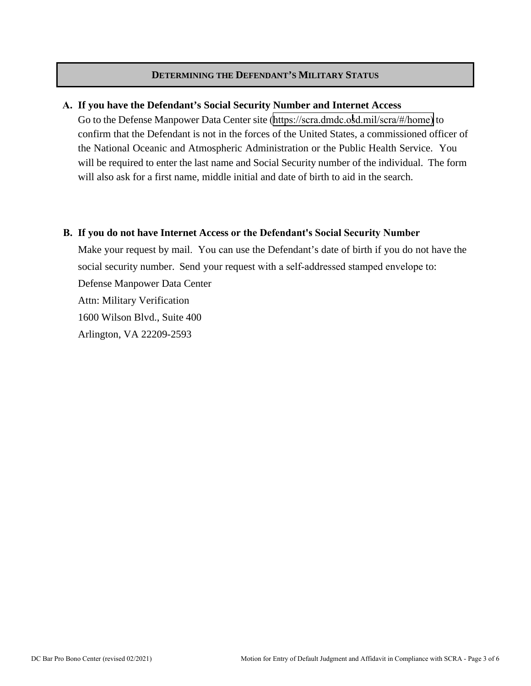#### **DETERMINING THE DEFENDANT'S MILITARY STATUS**

#### **A. If you have the Defendant's Social Security Number and Internet Access**

Go to the Defense Manpower Data Center site ([https://scra.dmdc.osd.mil/scra/#/home\)](https://scra.dmdc.osd.mil/scra/#/home) to confirm that the Defendant is not in the forces of the United States, a commissioned officer of the National Oceanic and Atmospheric Administration or the Public Health Service. You will be required to enter the last name and Social Security number of the individual. The form will also ask for a first name, middle initial and date of birth to aid in the search.

#### **B. If you do not have Internet Access or the Defendant's Social Security Number**

Make your request by mail. You can use the Defendant's date of birth if you do not have the social security number. Send your request with a self-addressed stamped envelope to: Defense Manpower Data Center Attn: Military Verification 1600 Wilson Blvd., Suite 400 Arlington, VA 22209-2593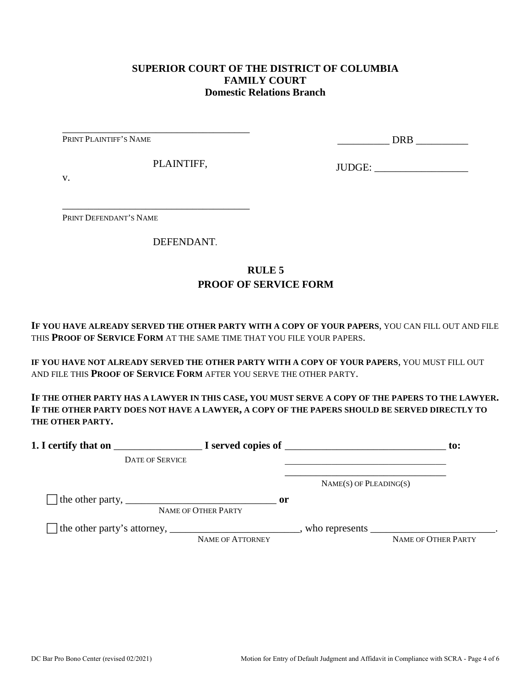### **SUPERIOR COURT OF THE DISTRICT OF COLUMBIA FAMILY COURT Domestic Relations Branch**

PRINT PLAINTIFF'S NAME

\_\_\_\_\_\_\_\_\_\_ DRB \_\_\_\_\_\_\_\_\_\_

PLAINTIFF,

\_\_\_\_\_\_\_\_\_\_\_\_\_\_\_\_\_\_\_\_\_\_\_\_\_\_\_\_\_\_\_\_\_\_\_\_

\_\_\_\_\_\_\_\_\_\_\_\_\_\_\_\_\_\_\_\_\_\_\_\_\_\_\_\_\_\_\_\_\_\_\_\_

JUDGE: \_\_\_\_\_\_\_\_\_\_\_\_\_\_\_\_\_\_

v.

PRINT DEFENDANT'S NAME

DEFENDANT.

# **RULE 5 PROOF OF SERVICE FORM**

**IF YOU HAVE ALREADY SERVED THE OTHER PARTY WITH A COPY OF YOUR PAPERS**, YOU CAN FILL OUT AND FILE THIS **PROOF OF SERVICE FORM** AT THE SAME TIME THAT YOU FILE YOUR PAPERS.

**IF YOU HAVE NOT ALREADY SERVED THE OTHER PARTY WITH A COPY OF YOUR PAPERS**, YOU MUST FILL OUT AND FILE THIS **PROOF OF SERVICE FORM** AFTER YOU SERVE THE OTHER PARTY.

**IF THE OTHER PARTY HAS A LAWYER IN THIS CASE, YOU MUST SERVE A COPY OF THE PAPERS TO THE LAWYER. IF THE OTHER PARTY DOES NOT HAVE A LAWYER, A COPY OF THE PAPERS SHOULD BE SERVED DIRECTLY TO THE OTHER PARTY.** 

| 1. I certify that on                                                                                      |                                      | $\blacksquare$ $\blacksquare$ I served copies of $\blacksquare$ | $\mathbf{to}$ :     |
|-----------------------------------------------------------------------------------------------------------|--------------------------------------|-----------------------------------------------------------------|---------------------|
| <b>DATE OF SERVICE</b>                                                                                    |                                      |                                                                 |                     |
|                                                                                                           |                                      | $NAME(S)$ OF PLEADING(S)                                        |                     |
| The other party, $\frac{1}{\sqrt{1-\frac{1}{2}}}\left\lfloor \frac{1}{2}\right\rfloor$                    | $\mathbf{or}$<br>NAME OF OTHER PARTY |                                                                 |                     |
| The other party's attorney, _______________________________, who represents ____________________________. | NAME OF ATTORNEY                     |                                                                 | NAME OF OTHER PARTY |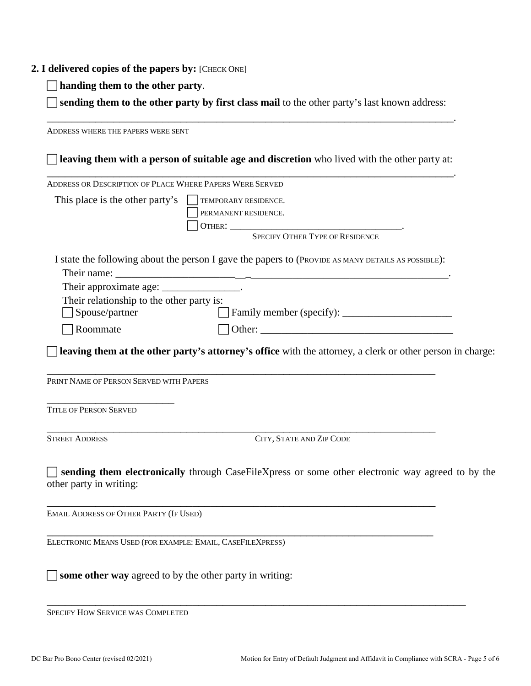#### **2. I delivered copies of the papers by:** [CHECK ONE]

**handing them to the other party**.

 **sending them to the other party by first class mail** to the other party's last known address: \_\_\_\_\_\_\_\_\_\_\_\_\_\_\_\_\_\_\_\_\_\_\_\_\_\_\_\_\_\_\_\_\_\_\_\_\_\_\_\_\_\_\_\_\_\_\_\_\_\_\_\_\_\_\_\_\_\_\_\_\_\_\_\_\_\_\_.

ADDRESS WHERE THE PAPERS WERE SENT **leaving them with a person of suitable age and discretion** who lived with the other party at: \_\_\_\_\_\_\_\_\_\_\_\_\_\_\_\_\_\_\_\_\_\_\_\_\_\_\_\_\_\_\_\_\_\_\_\_\_\_\_\_\_\_\_\_\_\_\_\_\_\_\_\_\_\_\_\_\_\_\_\_\_\_\_\_\_\_\_. ADDRESS OR DESCRIPTION OF PLACE WHERE PAPERS WERE SERVED This place is the other party's  $\Box$  TEMPORARY RESIDENCE. PERMANENT RESIDENCE. OTHER: \_\_\_\_\_\_\_\_\_\_\_\_\_\_\_\_\_\_\_\_\_\_\_\_\_\_\_\_\_\_\_\_\_. SPECIFY OTHER TYPE OF RESIDENCE I state the following about the person I gave the papers to (PROVIDE AS MANY DETAILS AS POSSIBLE): Their name: Their approximate age: \_\_\_\_\_\_\_\_\_\_\_\_\_\_\_\_. Their relationship to the other party is: Spouse/partner Family member (specify): \_\_\_\_\_\_\_\_\_\_\_\_\_\_\_\_\_\_\_\_\_ Roommate Other: \_\_\_\_\_\_\_\_\_\_\_\_\_\_\_\_\_\_\_\_\_\_\_\_\_\_\_\_\_\_\_\_\_\_\_\_\_ **leaving them at the other party's attorney's office** with the attorney, a clerk or other person in charge: \_\_\_\_\_\_\_\_\_\_\_\_\_\_\_\_\_\_\_\_\_\_\_\_\_\_\_\_\_\_\_\_\_\_\_\_\_\_\_\_\_\_\_\_\_\_\_\_\_\_\_\_\_\_\_\_\_\_\_\_\_\_\_\_ PRINT NAME OF PERSON SERVED WITH PAPERS \_\_\_\_\_\_\_\_\_\_\_\_\_\_\_\_\_\_\_\_\_ TITLE OF PERSON SERVED \_\_\_\_\_\_\_\_\_\_\_\_\_\_\_\_\_\_\_\_\_\_\_\_\_\_\_\_\_\_\_\_\_\_\_\_\_\_\_\_\_\_\_\_\_\_\_\_\_\_\_\_\_\_\_\_\_\_\_\_\_\_\_\_ STREET ADDRESS CITY, STATE AND ZIP CODE **sending them electronically** through CaseFileXpress or some other electronic way agreed to by the other party in writing: \_\_\_\_\_\_\_\_\_\_\_\_\_\_\_\_\_\_\_\_\_\_\_\_\_\_\_\_\_\_\_\_\_\_\_\_\_\_\_\_\_\_\_\_\_\_\_\_\_\_\_\_\_\_\_\_\_\_\_\_\_\_\_\_ EMAIL ADDRESS OF OTHER PARTY (IF USED) \_\_\_\_\_\_\_\_\_\_\_\_\_\_\_\_\_\_\_\_\_\_\_\_\_\_\_\_\_\_\_\_\_\_\_\_\_\_\_\_\_\_\_\_\_\_\_\_\_\_\_\_\_\_\_\_\_\_\_\_\_\_\_\_ ELECTRONIC MEANS USED (FOR EXAMPLE: EMAIL, CASEFILEXPRESS)  $\Box$  **some other way** agreed to by the other party in writing:

\_\_\_\_\_\_\_\_\_\_\_\_\_\_\_\_\_\_\_\_\_\_\_\_\_\_\_\_\_\_\_\_\_\_\_\_\_\_\_\_\_\_\_\_\_\_\_\_\_\_\_\_\_\_\_\_\_\_\_\_\_\_\_\_\_\_\_\_\_

SPECIFY HOW SERVICE WAS COMPLETED